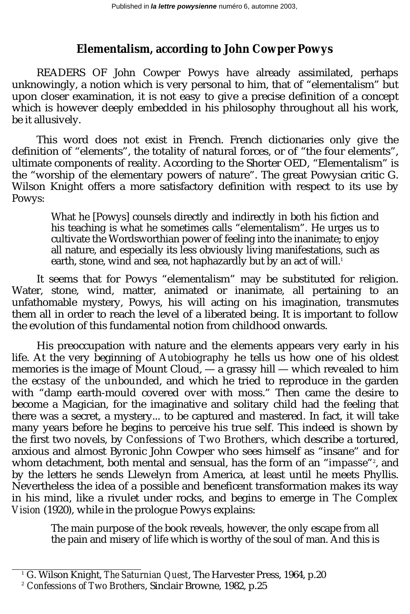## **Elementalism, according to John Cowper Powys**

READERS OF John Cowper Powys have already assimilated, perhaps unknowingly, a notion which is very personal to him, that of "elementalism" but upon closer examination, it is not easy to give a precise definition of a concept which is however deeply embedded in his philosophy throughout all his work, be it allusively.

This word does not exist in French. French dictionaries only give the definition of "elements", the totality of natural forces, or of "the four elements", ultimate components of reality. According to the Shorter OED, "Elementalism" is the "worship of the elementary powers of nature". The great Powysian critic G. Wilson Knight offers a more satisfactory definition with respect to its use by Powys:

> What he [Powys] counsels directly and indirectly in both his fiction and his teaching is what he sometimes calls "elementalism". He urges us to cultivate the Wordsworthian power of feeling into the inanimate; to enjoy all nature, and especially its less obviously living manifestations, such as earth, stone, wind and sea, not haphazardly but by an act of will.<sup>1</sup>

It seems that for Powys "elementalism" may be substituted for religion. Water, stone, wind, matter, animated or inanimate, all pertaining to an unfathomable mystery, Powys, his will acting on his imagination, transmutes them all in order to reach the level of a liberated being. It is important to follow the evolution of this fundamental notion from childhood onwards.

His preoccupation with nature and the elements appears very early in his life. At the very beginning of *Autobiography* he tells us how one of his oldest memories is the image of Mount Cloud, — a grassy hill — which revealed to him *the ecstasy of the unbounded*, and which he tried to reproduce in the garden with "damp earth-mould covered over with moss." Then came the desire to become a Magician, for the imaginative and solitary child had the feeling that there was a secret, a mystery... to be captured and mastered. In fact, it will take many years before he begins to perceive his true self. This indeed is shown by the first two novels, by *Confessions of Two Brothers*, which describe a tortured, anxious and almost Byronic John Cowper who sees himself as "insane" and for whom detachment, both mental and sensual, has the form of an "*impasse*"<sup>2</sup>, and by the letters he sends Llewelyn from America, at least until he meets Phyllis. Nevertheless the idea of a possible and beneficent transformation makes its way in his mind, like a rivulet under rocks, and begins to emerge in *The Complex Vision* (1920), while in the prologue Powys explains:

The main purpose of the book reveals, however, the only escape from all the pain and misery of life which is worthy of the soul of man. And this is

<sup>1</sup> G. Wilson Knight, *The Saturnian Quest*, The Harvester Press, 1964, p.20

<sup>2</sup> *Confessions of Two Brothers*, Sinclair Browne, 1982, p.25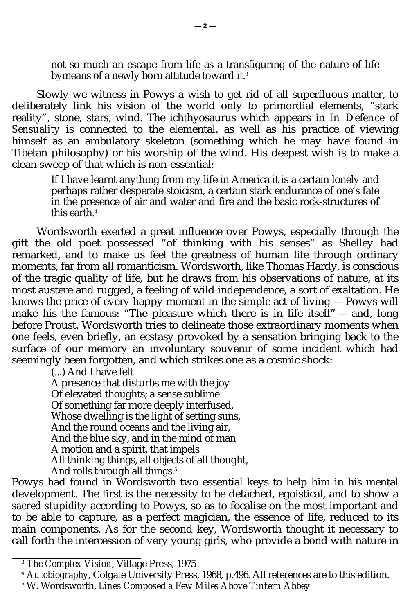not so much an escape from life as a transfiguring of the nature of life bymeans of a newly born attitude toward it.<sup>3</sup>

Slowly we witness in Powys a wish to get rid of all superfluous matter, to deliberately link his vision of the world only to primordial elements, "stark reality", stone, stars, wind. The ichthyosaurus which appears in *In Defence of Sensuality* is connected to the elemental, as well as his practice of viewing himself as an ambulatory skeleton (something which he may have found in Tibetan philosophy) or his worship of the wind. His deepest wish is to make a clean sweep of that which is non-essential:

> If I have learnt anything from my life in America it is a certain lonely and perhaps rather desperate stoicism, a certain stark endurance of one's fate in the presence of air and water and fire and the basic rock-structures of this earth.<sup>4</sup>

Wordsworth exerted a great influence over Powys, especially through the gift the old poet possessed "of thinking with his senses" as Shelley had remarked, and to make us feel the greatness of human life through ordinary moments, far from all romanticism. Wordsworth, like Thomas Hardy, is conscious of the tragic quality of life, but he draws from his observations of nature, at its most austere and rugged, a feeling of wild independence, a sort of exaltation. He knows the price of every happy moment in the simple act of living — Powys will make his the famous: "The pleasure which there is in life itself" — and, long before Proust, Wordsworth tries to delineate those extraordinary moments when one feels, even briefly, an ecstasy provoked by a sensation bringing back to the surface of our memory an involuntary souvenir of some incident which had seemingly been forgotten, and which strikes one as a cosmic shock:

(...) And I have felt

A presence that disturbs me with the joy Of elevated thoughts; a sense sublime Of something far more deeply interfused, Whose dwelling is the light of setting suns, And the round oceans and the living air, And the blue sky, and in the mind of man A motion and a spirit, that impels All thinking things, all objects of all thought, And rolls through all things.<sup>5</sup>

Powys had found in Wordsworth two essential keys to help him in his mental development. The first is the necessity to be detached, egoistical, and to show a *sacred stupidity* according to Powys, so as to focalise on the most important and to be able to capture, as a perfect magician, the essence of life, reduced to its main components. As for the second key, Wordsworth thought it necessary to call forth the intercession of very young girls, who provide a bond with nature in

<sup>3</sup> *The Complex Vision*, Village Press, 1975

<sup>4</sup> *Autobiography*, Colgate University Press, 1968, p.496. All references are to this edition.

<sup>5</sup> W. Wordsworth, *Lines Composed a Few Miles Above Tintern Abbey*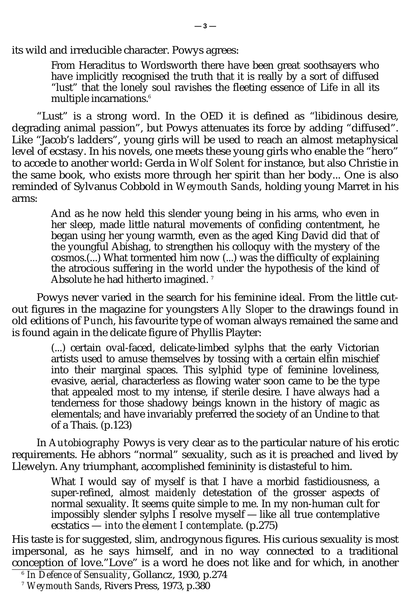its wild and irreducible character. Powys agrees:

From Heraclitus to Wordsworth there have been great soothsayers who have implicitly recognised the truth that it is really by a sort of diffused "lust" that the lonely soul ravishes the fleeting essence of Life in all its multiple incarnations.<sup>6</sup>

"Lust" is a strong word. In the OED it is defined as "libidinous desire, degrading animal passion", but Powys attenuates its force by adding "diffused". Like "Jacob's ladders", young girls will be used to reach an almost metaphysical level of ecstasy. In his novels, one meets these young girls who enable the "hero" to accede to another world: Gerda in *Wolf Solent* for instance, but also Christie in the same book, who exists more through her spirit than her body... One is also reminded of Sylvanus Cobbold in *Weymouth Sands*, holding young Marret in his arms:

> And as he now held this slender young being in his arms, who even in her sleep, made little natural movements of confiding contentment, he began using her young warmth, even as the aged King David did that of the youngful Abishag, to strengthen his colloquy with the mystery of the cosmos.(...) What tormented him now (...) was the difficulty of explaining the atrocious suffering in the world under the hypothesis of the kind of Absolute he had hitherto imagined.<sup>7</sup>

Powys never varied in the search for his feminine ideal. From the little cutout figures in the magazine for youngsters *Ally Sloper* to the drawings found in old editions of *Punch*, his favourite type of woman always remained the same and is found again in the delicate figure of Phyllis Playter:

> (...) certain oval-faced, delicate-limbed sylphs that the early Victorian artists used to amuse themselves by tossing with a certain elfin mischief into their marginal spaces. This sylphid type of feminine loveliness, evasive, aerial, characterless as flowing water soon came to be the type that appealed most to my intense, if sterile desire. I have always had a tenderness for those shadowy beings known in the history of magic as elementals; and have invariably preferred the society of an Undine to that of a Thais. (p.123)

In *Autobiography* Powys is very clear as to the particular nature of his erotic requirements. He abhors "normal" sexuality, such as it is preached and lived by Llewelyn. Any triumphant, accomplished femininity is distasteful to him.

> What I would say of myself is that I have a morbid fastidiousness, a super-refined, almost *maidenly* detestation of the grosser aspects of normal sexuality. It seems quite simple to me. In my non-human cult for impossibly slender sylphs I resolve myself — like all true contemplative ecstatics — *into the element I contemplate*. (p.275)

His taste is for suggested, slim, androgynous figures. His curious sexuality is most impersonal, as he says himself, and in no way connected to a traditional conception of love."Love" is a word he does not like and for which, in another

<sup>6</sup> *In Defence of Sensuality*, Gollancz, 1930, p.274

<sup>7</sup> *Weymouth Sands*, Rivers Press, 1973, p.380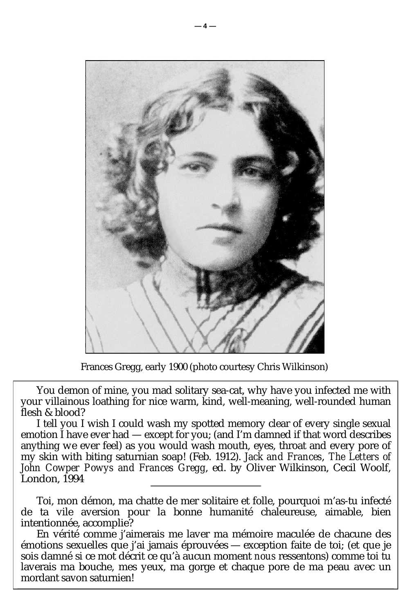

Frances Gregg, early 1900 (photo courtesy Chris Wilkinson)

You demon of mine, you mad solitary sea-cat, why have you infected me with your villainous loathing for nice warm, kind, well-meaning, well-rounded human flesh & blood?

I tell you I wish I could wash my spotted memory clear of every single sexual emotion I have ever had — except for you; (and I'm damned if that word describes anything *we* ever feel) as you would wash mouth, eyes, throat and every pore of my skin with biting saturnian soap! (Feb. 1912). *Jack and Frances*, *The Letters of John Cowper Powys and Frances Gregg*, ed. by Oliver Wilkinson, Cecil Woolf, London, 1994

Toi, mon démon, ma chatte de mer solitaire et folle, pourquoi m'as-tu infecté de ta vile aversion pour la bonne humanité chaleureuse, aimable, bien intentionnée, accomplie?

En vérité comme j'aimerais me laver ma mémoire maculée de chacune des émotions sexuelles que j'ai jamais éprouvées — exception faite de toi; (et que je sois damné si ce mot décrit ce qu'à aucun moment *nous* ressentons) comme toi tu laverais ma bouche, mes yeux, ma gorge et chaque pore de ma peau avec un mordant savon saturnien!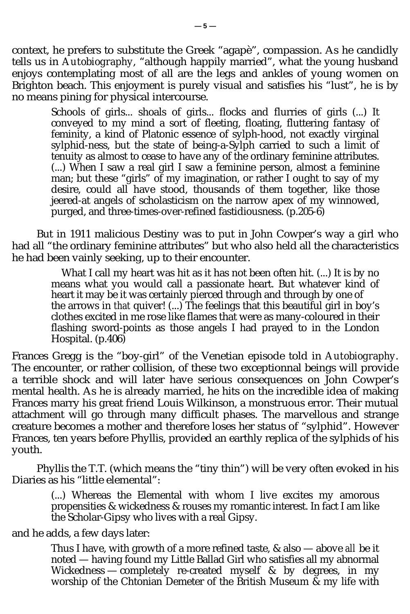context, he prefers to substitute the Greek "agapè", compassion. As he candidly tells us in *Autobiography*, "although happily married", what the young husband enjoys contemplating most of all are the legs and ankles of young women on Brighton beach. This enjoyment is purely visual and satisfies his "lust", he is by no means pining for physical intercourse.

> Schools of girls... shoals of girls... flocks and flurries of girls (...) It conveyed to my mind a sort of fleeting, floating, fluttering fantasy of feminity, a kind of Platonic essence of sylph-hood, not exactly virginal sylphid-ness, but the state of being-a-Sylph carried to such a limit of tenuity as almost to cease to have any of the ordinary feminine attributes. (...) When I saw a real girl I saw a feminine person, almost a feminine man; but these "girls" of my imagination, or rather I ought to say of my desire, could all have stood, thousands of them together, like those jeered-at angels of scholasticism on the narrow apex of my winnowed, purged, and three-times-over-refined fastidiousness. (p.205-6)

But in 1911 malicious Destiny was to put in John Cowper's way a girl who had all "the ordinary feminine attributes" but who also held all the characteristics he had been vainly seeking, up to their encounter.

> What I call my heart was hit as it has not been often hit. (...) It is by no means what you would call a passionate heart. But whatever kind of heart it may be it was certainly pierced through and through by one of the arrows in *that* quiver! (...) The feelings that this beautiful girl in boy's clothes excited in me rose like flames that were as many-coloured in their flashing sword-points as those angels I had prayed to in the London Hospital. (p.406)

Frances Gregg is the "boy-girl" of the Venetian episode told in *Autobiography*. The encounter, or rather collision, of these two exceptionnal beings will provide a terrible shock and will later have serious consequences on John Cowper's mental health. As he is already married, he hits on the incredible idea of making Frances marry his great friend Louis Wilkinson, a monstruous error. Their mutual attachment will go through many difficult phases. The marvellous and strange creature becomes a mother and therefore loses her status of "sylphid". However Frances, ten years before Phyllis, provided an earthly replica of the sylphids of his youth.

Phyllis the T.T. (which means the "tiny thin") will be very often evoked in his Diaries as his "little elemental":

> (...) Whereas the Elemental with whom I live excites my amorous propensities & wickedness & rouses my romantic interest. In fact I am like the Scholar-Gipsy who lives with a real Gipsy.

and he adds, a few days later:

Thus I have, with growth of a more refined taste, & also — above *all* be it noted — having found my Little Ballad Girl who satisfies all my abnormal Wickedness — completely re-created myself & by degrees, in my worship of the Chtonian Demeter of the British Museum & my life with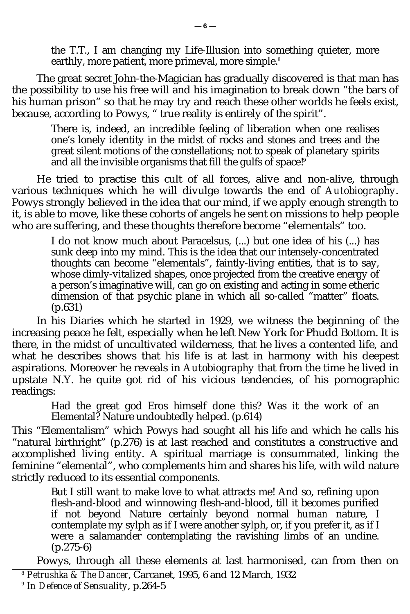the T.T., I am changing my Life-Illusion into something quieter, more earthly, more patient, more primeval, more simple.<sup>8</sup>

The great secret John-the-Magician has gradually discovered is that man has the possibility to use his free will and his imagination to break down "the bars of his human prison" so that he may try and reach these other worlds he feels exist, because, according to Powys, " true reality is entirely of the spirit".

> There is, indeed, an incredible feeling of liberation when one realises one's lonely identity in the midst of rocks and stones and trees and the great silent motions of the constellations; not to speak of planetary spirits and all the invisible organisms that fill the gulfs of space!<sup>9</sup>

He tried to practise this cult of all forces, alive and non-alive, through various techniques which he will divulge towards the end of *Autobiography*. Powys strongly believed in the idea that our mind, if we apply enough strength to it, is able to move, like these cohorts of angels he sent on missions to help people who are suffering, and these thoughts therefore become "elementals" too.

> I do not know much about Paracelsus, (...) but one idea of his (...) has sunk deep into my mind. This is the idea that our intensely-concentrated thoughts can become "elementals", faintly-living entities, that is to say, whose dimly-vitalized shapes, once projected from the creative energy of a person's imaginative will, can go on existing and acting in some etheric dimension of that psychic plane in which all so-called "matter" floats. (p.631)

In his Diaries which he started in 1929, we witness the beginning of the increasing peace he felt, especially when he left New York for Phudd Bottom. It is there, in the midst of uncultivated wilderness, that he lives a contented life, and what he describes shows that his life is at last in harmony with his deepest aspirations. Moreover he reveals in *Autobiography* that from the time he lived in upstate N.Y. he quite got rid of his vicious tendencies, of his pornographic readings:

Had the great god Eros himself done this? Was it the work of an Elemental? Nature undoubtedly helped. (p.614)

This "Elementalism" which Powys had sought all his life and which he calls his "natural birthright" (p.276) is at last reached and constitutes a constructive and accomplished living entity. A spiritual marriage is consummated, linking the feminine "elemental", who complements him and shares his life, with wild nature strictly reduced to its essential components.

> But I still want to make love to what attracts me! And so, refining upon flesh-and-blood and winnowing flesh-and-blood, till it becomes purified if not beyond Nature certainly beyond normal *human* nature, I contemplate my sylph as if I were another sylph, or, if you prefer it, as if I were a salamander contemplating the ravishing limbs of an undine. (p.275-6)

Powys, through all these elements at last harmonised, can from then on

<sup>8</sup> *Petrushka & The Dancer*, Carcanet, 1995, 6 and 12 March, 1932

<sup>9</sup> *In Defence of Sensuality*, p.264-5